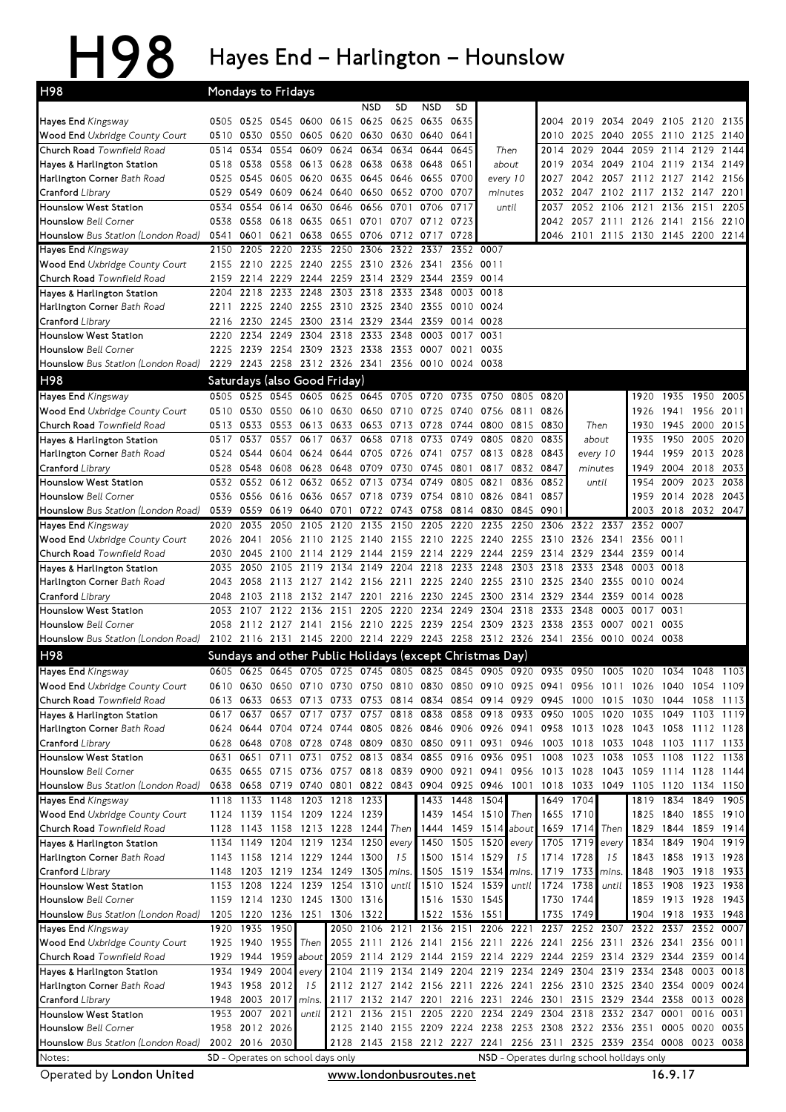## H98 Hayes End – Harlington – Hounslow

| H98                                                                        |                                                                                                                       | Mondays to Fridays               |                             |                |                          |                |                                              |                        |                        |                                                                                                                                                                                        |              |              |                             |           |                                                 |                     |                   |              |
|----------------------------------------------------------------------------|-----------------------------------------------------------------------------------------------------------------------|----------------------------------|-----------------------------|----------------|--------------------------|----------------|----------------------------------------------|------------------------|------------------------|----------------------------------------------------------------------------------------------------------------------------------------------------------------------------------------|--------------|--------------|-----------------------------|-----------|-------------------------------------------------|---------------------|-------------------|--------------|
|                                                                            |                                                                                                                       |                                  |                             |                |                          | <b>NSD</b>     | <b>SD</b>                                    | <b>NSD</b>             | SD                     |                                                                                                                                                                                        |              |              |                             |           |                                                 |                     |                   |              |
| Hayes End Kingsway                                                         | 0505                                                                                                                  | 0525 0545 0600                   |                             |                | 0615                     | 0625 0625      |                                              | 0635                   | 0635                   |                                                                                                                                                                                        |              | 2004         | 2019                        | 2034      | 2049                                            | 2105 2120           |                   | 2135         |
| <b>Wood End</b> Uxbridge County Court                                      | 0510                                                                                                                  | 0530                             |                             | 0550 0605      | 0620 0630 0630           |                |                                              | 0640                   | 0641                   |                                                                                                                                                                                        |              |              | 2010 2025                   | 2040      |                                                 | 2055 2110 2125      |                   | 2140         |
| Church Road Townfield Road                                                 | 0514                                                                                                                  | 0534                             |                             | 0554 0609      | 0624                     | 0634           | 0634                                         | 0644                   | 0645                   | Then                                                                                                                                                                                   |              | 2014         | 2029                        | 2044      |                                                 | 2059 2114           | 2129              | 2144         |
| Hayes & Harlington Station<br>Harlington Corner Bath Road                  | 0518<br>0525                                                                                                          | 0538<br>0545                     | 0605 0620                   | 0558 0613 0628 | 0635                     | 0638 0638      | 0645 0646                                    | 0648<br>0655           | 0651<br>0700           | about<br>every 10                                                                                                                                                                      |              | 2019<br>2027 | 2034<br>2042                |           | 2049 2104 2119 2134<br>2057 2112 2127 2142 2156 |                     |                   | 2149         |
| Cranford Library                                                           | 0529                                                                                                                  | 0549                             |                             | 0609 0624      | 0640                     |                | 0650 0652 0700                               |                        | 0707                   | minutes                                                                                                                                                                                |              | 2032         | 2047                        |           | 2102 2117 2132 2147                             |                     |                   | 2201         |
| <b>Hounslow West Station</b>                                               | 0534                                                                                                                  | 0554                             | 0614                        | 0630           | 0646                     | 0656           | 0701                                         | 0706                   | 0717                   | until                                                                                                                                                                                  |              | 2037         | 2052                        | 2106      | 2121                                            | 2136                | 2151              | 2205         |
| <b>Hounslow</b> Bell Corner                                                | 0538                                                                                                                  | 0558                             | 0618 0635                   |                | 0651                     | 0701           | 0707                                         | 0712                   | 0723                   |                                                                                                                                                                                        |              | 2042         |                             | 2057 2111 |                                                 | 2126 2141 2156 2210 |                   |              |
| Hounslow Bus Station (London Road)                                         | 0541                                                                                                                  | 0601                             | 0621                        | 0638           |                          |                | 0655 0706 0712                               | 0717                   | 0728                   |                                                                                                                                                                                        |              |              |                             |           | 2046 2101 2115 2130 2145 2200 2214              |                     |                   |              |
| Hayes End Kingsway                                                         | 2150                                                                                                                  | 2205                             | 2220                        | 2235           | 2250                     | 2306           | 2322                                         | 2337                   | 2352 0007              |                                                                                                                                                                                        |              |              |                             |           |                                                 |                     |                   |              |
| Wood End Uxbridge County Court                                             | 2155                                                                                                                  | 2210 2225 2240                   |                             |                | 2255 2310 2326           |                |                                              | 2341                   | 2356 0011              |                                                                                                                                                                                        |              |              |                             |           |                                                 |                     |                   |              |
| Church Road Townfield Road                                                 | 2159                                                                                                                  | 2214                             | 2229                        | 2244           | 2259                     |                | 2314 2329                                    | 2344                   | 2359                   | 0014                                                                                                                                                                                   |              |              |                             |           |                                                 |                     |                   |              |
| Hayes & Harlington Station                                                 | 2204                                                                                                                  | 2218                             | 2233                        | 2248           | 2303                     | 2318           | 2333                                         | 2348                   | 0003                   | 0018                                                                                                                                                                                   |              |              |                             |           |                                                 |                     |                   |              |
| Harlington Corner Bath Road<br>Cranford <i>Library</i>                     | 2211<br>2216                                                                                                          | 2230                             | 2225 2240 2255<br>2245 2300 |                | 2310 2325 2340           | 2314 2329 2344 |                                              | 2355<br>2359           | 0010 0024<br>0014 0028 |                                                                                                                                                                                        |              |              |                             |           |                                                 |                     |                   |              |
| <b>Hounslow West Station</b>                                               | 2220                                                                                                                  | 2234                             |                             | 2249 2304      | 2318                     | 2333           | 2348                                         | 0003                   | 0017                   | 0031                                                                                                                                                                                   |              |              |                             |           |                                                 |                     |                   |              |
| <b>Hounslow</b> Bell Corner                                                | 2225                                                                                                                  | 2239                             | 2254 2309                   |                | 2323 2338 2353           |                |                                              | 0007                   | 0021                   | 0035                                                                                                                                                                                   |              |              |                             |           |                                                 |                     |                   |              |
| Hounslow Bus Station (London Road)                                         | 2229                                                                                                                  |                                  |                             |                |                          |                | 2243 2258 2312 2326 2341 2356 0010 0024 0038 |                        |                        |                                                                                                                                                                                        |              |              |                             |           |                                                 |                     |                   |              |
| H98                                                                        |                                                                                                                       | Saturdays (also Good Friday)     |                             |                |                          |                |                                              |                        |                        |                                                                                                                                                                                        |              |              |                             |           |                                                 |                     |                   |              |
| Hayes End Kingsway                                                         | 0505                                                                                                                  | 0525                             |                             |                | 0545 0605 0625 0645 0705 |                |                                              | 0720                   | 0735                   | 0750                                                                                                                                                                                   | 0805         | 0820         |                             |           | 1920                                            | 1935 1950           |                   | 2005         |
| Wood End Uxbridge County Court                                             | 0510                                                                                                                  | 0530                             |                             |                | 0550 0610 0630 0650 0710 |                |                                              |                        |                        | 0725 0740 0756 0811                                                                                                                                                                    |              | 0826         |                             |           | 1926                                            | 1941                | 1956 2011         |              |
| Church Road <i>Townfield Road</i>                                          | 0513                                                                                                                  | 0533                             |                             | 0553 0613      |                          | 0633 0653 0713 |                                              | 0728 0744              |                        | 0800                                                                                                                                                                                   | 0815         | 0830         | Then                        |           | 1930                                            | 1945                | 2000              | 2015         |
| Hayes & Harlington Station                                                 | 0517                                                                                                                  | 0537                             | 0557                        | 0617           | 0637                     | 0658           | 0718                                         | 0733                   | 0749                   | 0805                                                                                                                                                                                   | 0820         | 0835         | about                       |           | 1935                                            | 1950                | 2005              | 2020         |
| Harlington Corner Bath Road                                                | 0524                                                                                                                  | 0544                             |                             | 0604 0624      | 0644 0705 0726           |                |                                              | 0741                   |                        | 0757 0813 0828                                                                                                                                                                         |              | 0843         | every 10                    |           | 1944                                            | 1959                | 2013 2028         |              |
| Cranford Library                                                           | 0528                                                                                                                  | 0548                             | 0608                        | 0628           | 0648                     | 0709 0730      |                                              | 0745 0801              |                        | 0817                                                                                                                                                                                   | 0832         | 0847         | minutes                     |           | 1949                                            | 2004                | 2018              | 2033         |
| <b>Hounslow West Station</b>                                               | 0532                                                                                                                  | 0552<br>0556 0616 0636           | 0612                        | 0632           | 0652                     | 0657 0718 0739 | 0713 0734                                    | 0749<br>0754 0810 0826 | 0805                   | 0821                                                                                                                                                                                   | 0836<br>0841 | 0852<br>0857 | until                       |           | 1954<br>1959                                    | 2009<br>2014        | 2023              | 2038<br>2043 |
| <b>Hounslow</b> Bell Corner<br>Hounslow Bus Station (London Road)          | 0536<br>0539                                                                                                          | 0559                             | 0619 0640                   |                | 0701                     |                | 0722 0743                                    | 0758                   | 0814                   | 0830                                                                                                                                                                                   | 0845         | 0901         |                             |           | 2003                                            | 2018                | 2028<br>2032 2047 |              |
| Hayes End Kingsway                                                         | 2020                                                                                                                  | 2035                             | 2050                        | 2105           | 2120                     | 2135           | 2150                                         |                        | 2205 2220 2235         |                                                                                                                                                                                        | 2250         | 2306         | 2322 2337                   |           | 2352 0007                                       |                     |                   |              |
| Wood End Uxbridge County Court                                             | 2026                                                                                                                  | 2041                             |                             | 2056 2110      | 2125 2140 2155           |                |                                              |                        |                        | 2210 2225 2240 2255                                                                                                                                                                    |              | 2310 2326    |                             | 2341      | 2356 0011                                       |                     |                   |              |
| Church Road Townfield Road                                                 | 2030                                                                                                                  | 2045                             | 2100 2114                   |                | 2129                     | 2144 2159      |                                              | 2214 2229              |                        | 2244 2259                                                                                                                                                                              |              | 2314 2329    |                             | 2344      | 2359                                            | 0014                |                   |              |
| Hayes & Harlington Station                                                 | 2035                                                                                                                  | 2050                             |                             | 2105 2119      | 2134                     | 2149           | 2204                                         | 2218                   | 2233                   | 2248                                                                                                                                                                                   | 2303         | 2318         | 2333                        | 2348      | 0003                                            | 0018                |                   |              |
| Harlington Corner Bath Road                                                | 2043                                                                                                                  | 2058                             |                             |                |                          |                | 2113 2127 2142 2156 2211 2225 2240 2255      |                        |                        |                                                                                                                                                                                        | 2310         | 2325 2340    |                             | 2355      | 0010 0024                                       |                     |                   |              |
| Cranford Library                                                           | 2048                                                                                                                  | 2103                             | 2118 2132                   |                | 2147 2201                |                | 2216                                         | 2230 2245 2300         |                        |                                                                                                                                                                                        |              | 2314 2329    | 2344                        | 2359      | 0014 0028                                       |                     |                   |              |
| <b>Hounslow West Station</b>                                               | 2053                                                                                                                  | 2107                             | 2122 2136                   |                | 2151                     |                | 2205 2220                                    | 2234                   | 2249                   | 2304                                                                                                                                                                                   | 2318         | 2333         | 2348                        | 0003      | 0017                                            | 0031                |                   |              |
| <b>Hounslow</b> Bell Corner                                                | 2058                                                                                                                  |                                  |                             |                |                          |                |                                              |                        |                        | 2112 2127 2141 2156 2210 2225 2239 2254 2309 2323 2338 2353                                                                                                                            |              |              |                             | 0007      | 0021                                            | 0035                |                   |              |
| <b>Hounslow</b> Bus Station (London Road)                                  |                                                                                                                       |                                  |                             |                |                          |                |                                              |                        |                        | 2102 2116 2131 2145 2200 2214 2229 2243 2258 2312 2326 2341 2356 0010 0024 0038                                                                                                        |              |              |                             |           |                                                 |                     |                   |              |
| H98                                                                        |                                                                                                                       |                                  |                             |                |                          |                |                                              |                        |                        | Sundays and other Public Holidays (except Christmas Day)                                                                                                                               |              |              |                             |           |                                                 |                     |                   |              |
| Hayes End Kingsway                                                         |                                                                                                                       |                                  |                             |                |                          |                |                                              |                        |                        | 0605 0625 0645 0705 0725 0745 0805 0825 0845 0905 0920 0935 0950 1005 1020 1034 1048 1103<br>0610 0630 0650 0710 0730 0750 0810 0830 0850 0910 0925 0941 0956 1011 1026 1040 1054 1109 |              |              |                             |           |                                                 |                     |                   |              |
| <b>Wood End</b> Uxbridge County Court<br>Church Road <i>Townfield Road</i> | 0613                                                                                                                  | 0633                             | 0653 0713                   |                |                          | 0733 0753 0814 |                                              |                        |                        | 0834 0854 0914 0929 0945 1000                                                                                                                                                          |              |              |                             | 1015      | 1030 1044                                       |                     | 1058              | 1113         |
| Hayes & Harlington Station                                                 |                                                                                                                       | 0617 0637                        |                             | 0657 0717      | 0737                     |                | 0757 0818                                    |                        |                        | 0838 0858 0918 0933                                                                                                                                                                    |              | 0950         | 1005                        | 1020      | 1035                                            | 1049                | 1103              | 1119         |
| Harlington Corner Bath Road                                                |                                                                                                                       | 0624 0644                        |                             |                |                          |                |                                              |                        |                        | 0704 0724 0744 0805 0826 0846 0906 0926 0941 0958 1013 1028                                                                                                                            |              |              |                             |           | 1043 1058                                       |                     | 1112 1128         |              |
| Cranford Library                                                           | 0628                                                                                                                  | 0648                             | 0708 0728                   |                | 0748 0809 0830           |                |                                              |                        | 0850 0911              | 0931                                                                                                                                                                                   | 0946         | 1003 1018    |                             | 1033      | 1048                                            | 1103                | 1117 1133         |              |
| Hounslow West Station                                                      | 0631                                                                                                                  | 0651                             | 0711                        | 0731           |                          | 0752 0813      | 0834                                         |                        | 0855 0916              | 0936                                                                                                                                                                                   | 0951         | 1008         | 1023                        | 1038      | 1053                                            | 1108                | 1122 1138         |              |
| <b>Hounslow</b> Bell Corner                                                | 0635                                                                                                                  |                                  | 0655 0715 0736              |                | 0757                     |                |                                              |                        |                        | 0818 0839 0900 0921 0941 0956                                                                                                                                                          |              | 1013 1028    |                             | 1043      |                                                 | 1059 1114 1128      |                   | 1144         |
| Hounslow Bus Station (London Road)                                         | 0638                                                                                                                  | 0658 0719 0740                   |                             |                | 0801                     |                |                                              |                        |                        | 0822 0843 0904 0925 0946 1001                                                                                                                                                          |              | 1018 1033    |                             | 1049      | 1105 1120 1134 1150                             |                     |                   |              |
| Hayes End Kingsway                                                         | 1118                                                                                                                  | 1133                             |                             | 1148 1203 1218 |                          | 1233           |                                              |                        | 1433 1448              | 1504                                                                                                                                                                                   |              | 1649         | 1704                        |           |                                                 | 1819 1834           | 1849              | 1905         |
| <b>Wood End</b> Uxbridge County Court<br>Church Road <i>Townfield Road</i> | 1124                                                                                                                  | 1139 1154 1209 1224 1239         |                             |                |                          |                |                                              |                        |                        | 1439 1454 1510<br>1444 1459 1514 about                                                                                                                                                 | Then         |              | 1655 1710                   |           |                                                 | 1825 1840<br>1844   | 1855 1910         |              |
| Hayes & Harlington Station                                                 | 1128<br>1134                                                                                                          | 1143 1158 1213 1228 1244<br>1149 | 1204 1219                   |                | 1234                     | 1250           | Then<br>every                                | 1450                   |                        | 1505 1520 every                                                                                                                                                                        |              |              | 1659 1714 Then<br>1705 1719 | every     | 1829<br>1834                                    | 1849 1904           | 1859 1914         | 1919         |
| Harlington Corner Bath Road                                                | 1143                                                                                                                  | 1158 1214 1229                   |                             |                | 1244 1300                |                | 15                                           |                        | 1500 1514 1529         |                                                                                                                                                                                        | 15           |              | 1714 1728                   | 15        |                                                 | 1843 1858           | 1913 1928         |              |
| Cranford Library                                                           | 1148                                                                                                                  | 1203                             | 1219 1234                   |                | 1249                     | 1305           | mins.                                        |                        | 1505 1519 1534         |                                                                                                                                                                                        | mins.        | 1719         | 1733                        | mins.     | 1848                                            | 1903 1918 1933      |                   |              |
| Hounslow West Station                                                      | 1153                                                                                                                  | 1208                             |                             | 1224 1239      | 1254                     | 1310           | until                                        |                        | 1510 1524              | 1539                                                                                                                                                                                   | until        | 1724         | 1738                        | until     | 1853                                            | 1908                | 1923 1938         |              |
| <b>Hounslow</b> Bell Corner                                                |                                                                                                                       | 1159 1214 1230 1245              |                             |                | 1300 1316                |                |                                              |                        | 1516 1530 1545         |                                                                                                                                                                                        |              |              | 1730 1744                   |           |                                                 | 1859 1913 1928 1943 |                   |              |
| Hounslow Bus Station (London Road)                                         |                                                                                                                       | 1205 1220                        |                             | 1236 1251 1306 |                          | 1322           |                                              | 1522                   | 1536 1551              |                                                                                                                                                                                        |              | 1735         | 1749                        |           |                                                 | 1904 1918           | 1933              | 1948         |
| Hayes End Kingsway                                                         |                                                                                                                       | 1920 1935 1950                   |                             |                |                          | 2050 2106 2121 |                                              |                        |                        | 2136 2151 2206 2221 2237 2252 2307                                                                                                                                                     |              |              |                             |           |                                                 | 2322 2337 2352 0007 |                   |              |
| <b>Wood End</b> Uxbridge County Court                                      | 1925                                                                                                                  | 1940 1955                        |                             |                |                          |                |                                              |                        |                        | Then 2055 2111 2126 2141 2156 2211 2226 2241 2256 2311                                                                                                                                 |              |              |                             |           |                                                 | 2326 2341 2356 0011 |                   |              |
| Church Road Townfield Road                                                 | 1929                                                                                                                  | 1944 1959                        |                             | about          |                          |                |                                              |                        |                        | 2059 2114 2129 2144 2159 2214 2229 2244 2259 2314 2329 2344                                                                                                                            |              |              |                             |           |                                                 |                     | 2359              | 0014         |
| Hayes & Harlington Station                                                 | 1934                                                                                                                  | 1949<br>1943 1958                | 2004<br>2012                | every<br>15    | 2104<br>2112             |                | 2119 2134                                    | 2149                   | 2204                   | 2219 2234<br>2127 2142 2156 2211 2226 2241                                                                                                                                             |              | 2249         | 2304                        | 2319      | 2334<br>2256 2310 2325 2340 2354                | 2348                | 0003<br>0009      | 0018<br>0024 |
| Harlington Corner Bath Road<br>Cranford Library                            | 1948                                                                                                                  | 2003 2017                        |                             | mins.          | 2117                     |                | 2132 2147 2201                               |                        |                        | 2216 2231 2246 2301 2315 2329 2344 2358 0013 0028                                                                                                                                      |              |              |                             |           |                                                 |                     |                   |              |
| Hounslow West Station                                                      |                                                                                                                       | 1953 2007 2021                   |                             | until          | 2121                     |                |                                              |                        |                        | 2136 2151 2205 2220 2234 2249 2304 2318                                                                                                                                                |              |              |                             | 2332 2347 |                                                 | 0001                | 0016              | 0031         |
| Hounslow Bell Corner                                                       |                                                                                                                       | 1958 2012 2026                   |                             |                |                          |                |                                              |                        |                        | 2125 2140 2155 2209 2224 2238 2253 2308 2322 2336 2351 0005 0020                                                                                                                       |              |              |                             |           |                                                 |                     |                   | 0035         |
| <b>Hounslow</b> Bus Station (London Road)                                  |                                                                                                                       | 2002 2016 2030                   |                             |                |                          |                |                                              |                        |                        | 2128 2143 2158 2212 2227 2241 2256 2311 2325 2339 2354 0008                                                                                                                            |              |              |                             |           |                                                 |                     | 0023 0038         |              |
| Notes:                                                                     |                                                                                                                       |                                  |                             |                |                          |                |                                              |                        |                        |                                                                                                                                                                                        |              |              |                             |           |                                                 |                     |                   |              |
| Operated by London United                                                  | SD - Operates on school days only<br>NSD - Operates during school holidays only<br>16.9.17<br>www.londonbusroutes.net |                                  |                             |                |                          |                |                                              |                        |                        |                                                                                                                                                                                        |              |              |                             |           |                                                 |                     |                   |              |